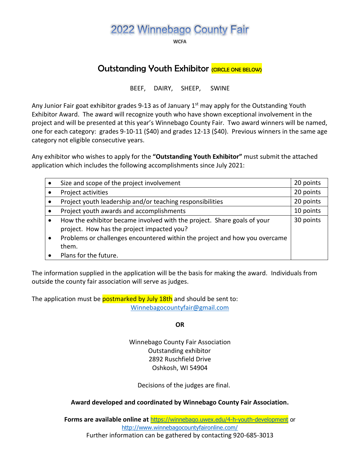# 2022 Winnebago County Fair

**MCEA** 

## Outstanding Youth Exhibitor CONCLE ONE BELOW)

BEEF, DAIRY, SHEEP, SWINE

Any Junior Fair goat exhibitor grades 9-13 as of January  $1<sup>st</sup>$  may apply for the Outstanding Youth Exhibitor Award. The award will recognize youth who have shown exceptional involvement in the project and will be presented at this year's Winnebago County Fair. Two award winners will be named, one for each category: grades 9-10-11 (\$40) and grades 12-13 (\$40). Previous winners in the same age category not eligible consecutive years.

Any exhibitor who wishes to apply for the **"Outstanding Youth Exhibitor"** must submit the attached application which includes the following accomplishments since July 2021:

|           | Size and scope of the project involvement                                  | 20 points |
|-----------|----------------------------------------------------------------------------|-----------|
|           | Project activities                                                         | 20 points |
|           | Project youth leadership and/or teaching responsibilities                  | 20 points |
|           | Project youth awards and accomplishments                                   | 10 points |
|           | How the exhibitor became involved with the project. Share goals of your    | 30 points |
|           | project. How has the project impacted you?                                 |           |
| $\bullet$ | Problems or challenges encountered within the project and how you overcame |           |
|           | them.                                                                      |           |
|           | Plans for the future.                                                      |           |

The information supplied in the application will be the basis for making the award. Individuals from outside the county fair association will serve as judges.

The application must be **postmarked by July 18th** and should be sent to: [Winnebagocountyfair@gmail.com](mailto:Winnebagocountyfair@gmail.com)

**OR**

Winnebago County Fair Association Outstanding exhibitor 2892 Ruschfield Drive Oshkosh, WI 54904

Decisions of the judges are final.

#### **Award developed and coordinated by Winnebago County Fair Association.**

**Forms are available online at** [https://winnebago.uwex.edu/4-h-youth-development](https://winnebago.uwex.edu/4-h-youth-development/projects-and-activities/) or <http://www.winnebagocountyfaironline.com/> Further information can be gathered by contacting 920-685-3013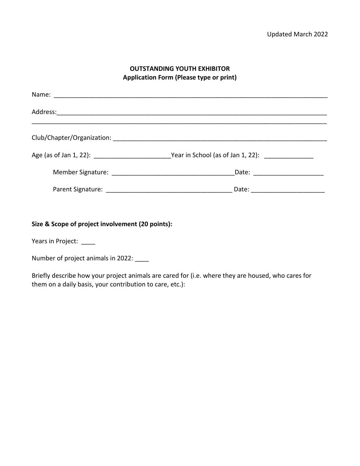#### **OUTSTANDING YOUTH EXHIBITOR Application Form (Please type or print)**

|  | Date: ______________________ |  |  |
|--|------------------------------|--|--|
|  |                              |  |  |

**Size & Scope of project involvement (20 points):** 

Years in Project: \_\_\_\_

Number of project animals in 2022: \_\_\_\_

Briefly describe how your project animals are cared for (i.e. where they are housed, who cares for them on a daily basis, your contribution to care, etc.):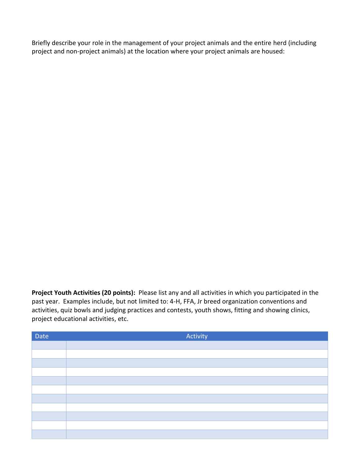Briefly describe your role in the management of your project animals and the entire herd (including project and non-project animals) at the location where your project animals are housed:

**Project Youth Activities (20 points):** Please list any and all activities in which you participated in the past year. Examples include, but not limited to: 4-H, FFA, Jr breed organization conventions and activities, quiz bowls and judging practices and contests, youth shows, fitting and showing clinics, project educational activities, etc.

| Date | Activity |
|------|----------|
|      |          |
|      |          |
|      |          |
|      |          |
|      |          |
|      |          |
|      |          |
|      |          |
|      |          |
|      |          |
|      |          |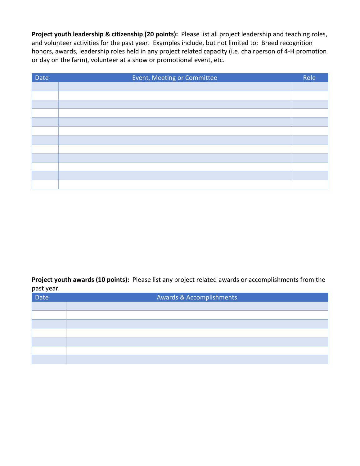**Project youth leadership & citizenship (20 points):** Please list all project leadership and teaching roles, and volunteer activities for the past year. Examples include, but not limited to: Breed recognition honors, awards, leadership roles held in any project related capacity (i.e. chairperson of 4-H promotion or day on the farm), volunteer at a show or promotional event, etc.

| Date | Event, Meeting or Committee | Role |
|------|-----------------------------|------|
|      |                             |      |
|      |                             |      |
|      |                             |      |
|      |                             |      |
|      |                             |      |
|      |                             |      |
|      |                             |      |
|      |                             |      |
|      |                             |      |
|      |                             |      |
|      |                             |      |
|      |                             |      |

**Project youth awards (10 points):** Please list any project related awards or accomplishments from the past year.

| Date | Awards & Accomplishments |
|------|--------------------------|
|      |                          |
|      |                          |
|      |                          |
|      |                          |
|      |                          |
|      |                          |
|      |                          |